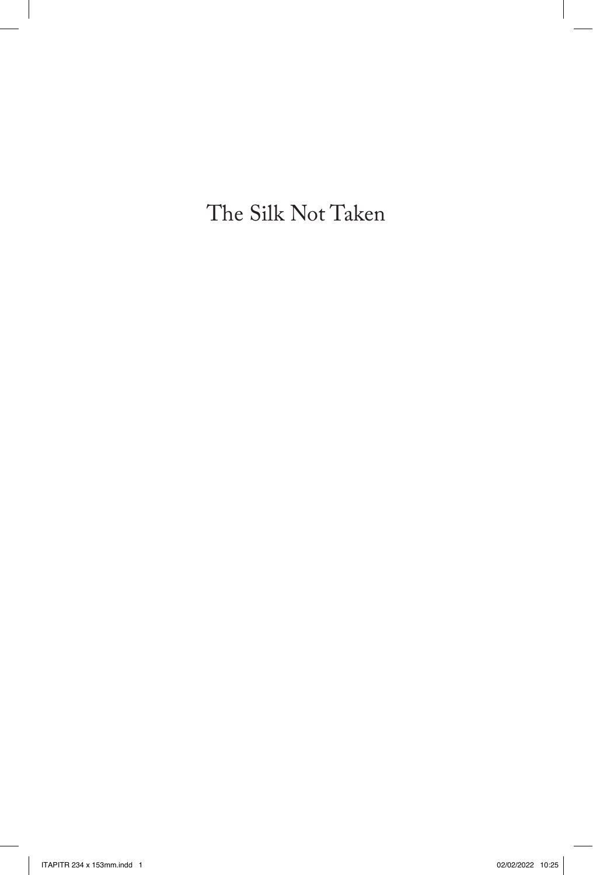The Silk Not Taken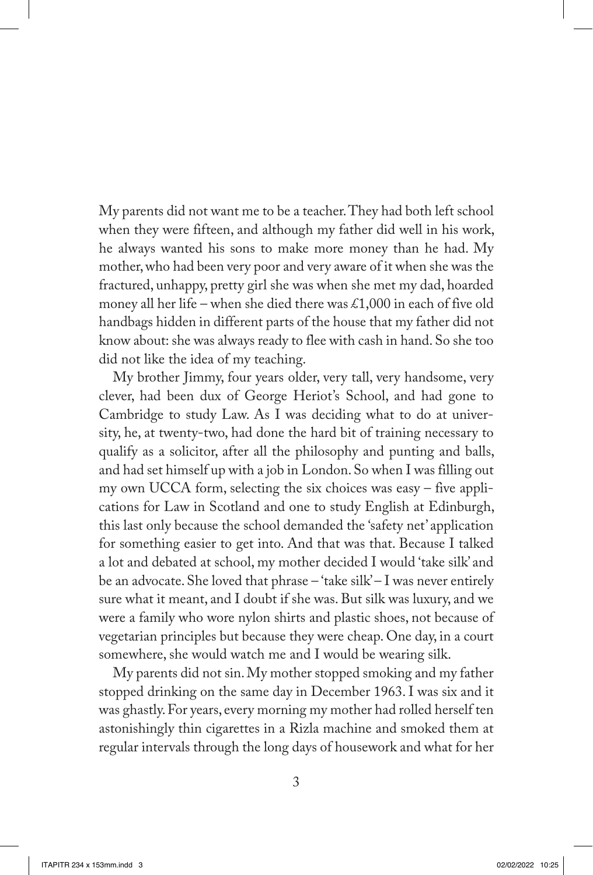My parents did not want me to be a teacher. They had both left school when they were fifteen, and although my father did well in his work, he always wanted his sons to make more money than he had. My mother, who had been very poor and very aware of it when she was the fractured, unhappy, pretty girl she was when she met my dad, hoarded money all her life – when she died there was  $\text{\pounds}1,000$  in each of five old handbags hidden in different parts of the house that my father did not know about: she was always ready to flee with cash in hand. So she too did not like the idea of my teaching.

My brother Jimmy, four years older, very tall, very handsome, very clever, had been dux of George Heriot's School, and had gone to Cambridge to study Law. As I was deciding what to do at university, he, at twenty-two, had done the hard bit of training necessary to qualify as a solicitor, after all the philosophy and punting and balls, and had set himself up with a job in London. So when I was filling out my own UCCA form, selecting the six choices was easy – five applications for Law in Scotland and one to study English at Edinburgh, this last only because the school demanded the 'safety net' application for something easier to get into. And that was that. Because I talked a lot and debated at school, my mother decided I would 'take silk' and be an advocate. She loved that phrase – 'take silk' – I was never entirely sure what it meant, and I doubt if she was. But silk was luxury, and we were a family who wore nylon shirts and plastic shoes, not because of vegetarian principles but because they were cheap. One day, in a court somewhere, she would watch me and I would be wearing silk.

My parents did not sin. My mother stopped smoking and my father stopped drinking on the same day in December 1963. I was six and it was ghastly. For years, every morning my mother had rolled herself ten astonishingly thin cigarettes in a Rizla machine and smoked them at regular intervals through the long days of housework and what for her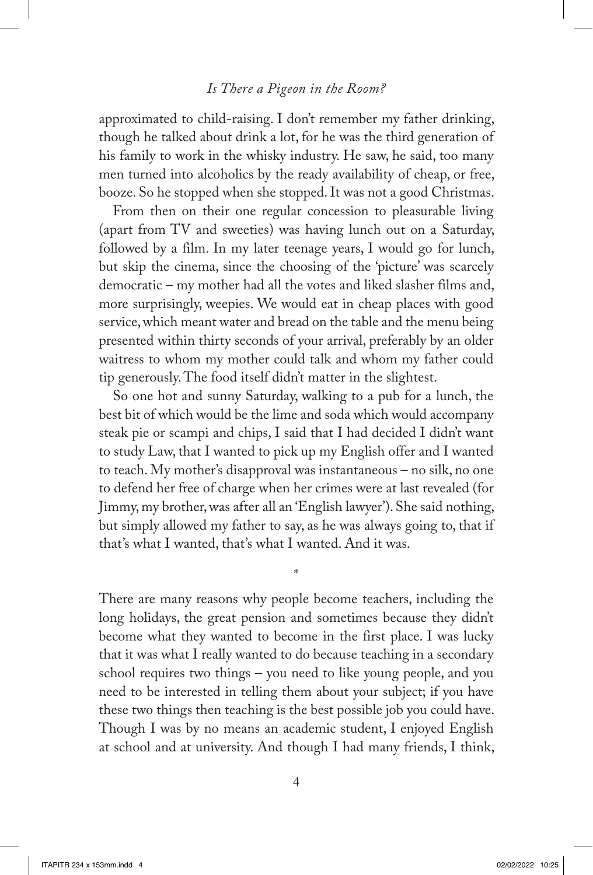## *Is There a Pigeon in the Room?*

approximated to child-raising. I don't remember my father drinking, though he talked about drink a lot, for he was the third generation of his family to work in the whisky industry. He saw, he said, too many men turned into alcoholics by the ready availability of cheap, or free, booze. So he stopped when she stopped. It was not a good Christmas.

From then on their one regular concession to pleasurable living (apart from TV and sweeties) was having lunch out on a Saturday, followed by a film. In my later teenage years, I would go for lunch, but skip the cinema, since the choosing of the 'picture' was scarcely democratic – my mother had all the votes and liked slasher films and, more surprisingly, weepies. We would eat in cheap places with good service, which meant water and bread on the table and the menu being presented within thirty seconds of your arrival, preferably by an older waitress to whom my mother could talk and whom my father could tip generously. The food itself didn't matter in the slightest.

So one hot and sunny Saturday, walking to a pub for a lunch, the best bit of which would be the lime and soda which would accompany steak pie or scampi and chips, I said that I had decided I didn't want to study Law, that I wanted to pick up my English offer and I wanted to teach. My mother's disapproval was instantaneous – no silk, no one to defend her free of charge when her crimes were at last revealed (for Jimmy, my brother, was after all an 'English lawyer'). She said nothing, but simply allowed my father to say, as he was always going to, that if that's what I wanted, that's what I wanted. And it was.

There are many reasons why people become teachers, including the long holidays, the great pension and sometimes because they didn't become what they wanted to become in the first place. I was lucky that it was what I really wanted to do because teaching in a secondary school requires two things – you need to like young people, and you need to be interested in telling them about your subject; if you have these two things then teaching is the best possible job you could have. Though I was by no means an academic student, I enjoyed English at school and at university. And though I had many friends, I think,

\*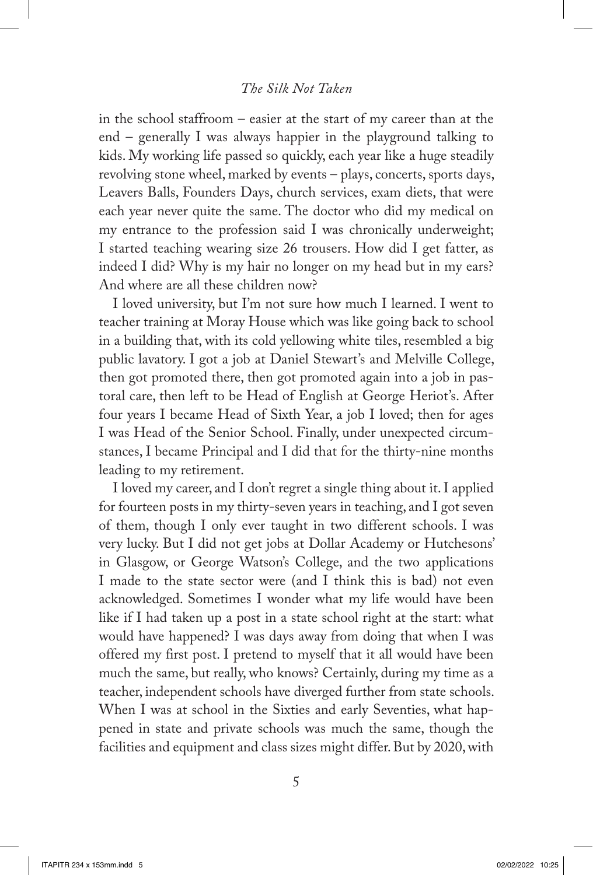## *The Silk Not Taken*

in the school staffroom – easier at the start of my career than at the end – generally I was always happier in the playground talking to kids. My working life passed so quickly, each year like a huge steadily revolving stone wheel, marked by events – plays, concerts, sports days, Leavers Balls, Founders Days, church services, exam diets, that were each year never quite the same. The doctor who did my medical on my entrance to the profession said I was chronically underweight; I started teaching wearing size 26 trousers. How did I get fatter, as indeed I did? Why is my hair no longer on my head but in my ears? And where are all these children now?

I loved university, but I'm not sure how much I learned. I went to teacher training at Moray House which was like going back to school in a building that, with its cold yellowing white tiles, resembled a big public lavatory. I got a job at Daniel Stewart's and Melville College, then got promoted there, then got promoted again into a job in pastoral care, then left to be Head of English at George Heriot's. After four years I became Head of Sixth Year, a job I loved; then for ages I was Head of the Senior School. Finally, under unexpected circumstances, I became Principal and I did that for the thirty-nine months leading to my retirement.

I loved my career, and I don't regret a single thing about it. I applied for fourteen posts in my thirty-seven years in teaching, and I got seven of them, though I only ever taught in two different schools. I was very lucky. But I did not get jobs at Dollar Academy or Hutchesons' in Glasgow, or George Watson's College, and the two applications I made to the state sector were (and I think this is bad) not even acknowledged. Sometimes I wonder what my life would have been like if I had taken up a post in a state school right at the start: what would have happened? I was days away from doing that when I was offered my first post. I pretend to myself that it all would have been much the same, but really, who knows? Certainly, during my time as a teacher, independent schools have diverged further from state schools. When I was at school in the Sixties and early Seventies, what happened in state and private schools was much the same, though the facilities and equipment and class sizes might differ. But by 2020, with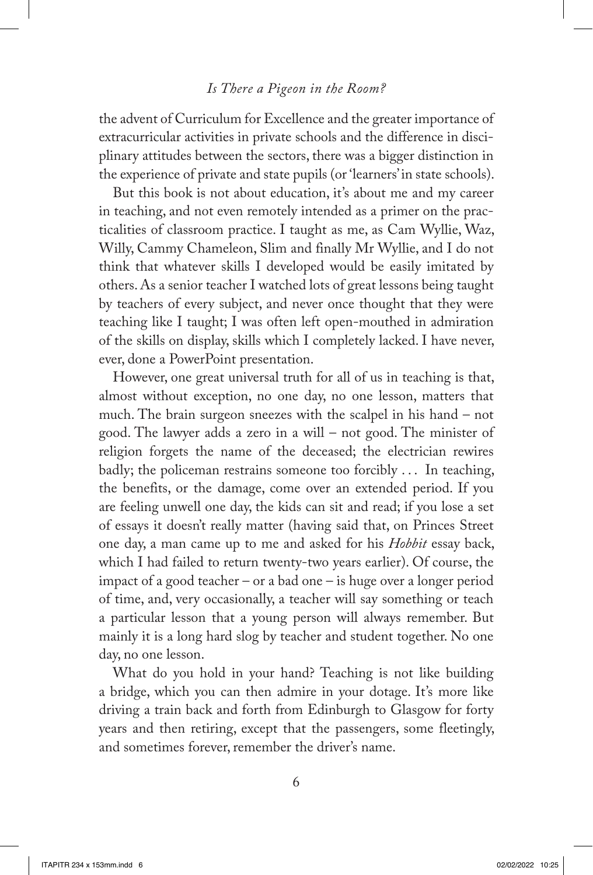the advent of Curriculum for Excellence and the greater importance of extracurricular activities in private schools and the difference in disciplinary attitudes between the sectors, there was a bigger distinction in the experience of private and state pupils (or 'learners' in state schools).

But this book is not about education, it's about me and my career in teaching, and not even remotely intended as a primer on the practicalities of classroom practice. I taught as me, as Cam Wyllie, Waz, Willy, Cammy Chameleon, Slim and finally Mr Wyllie, and I do not think that whatever skills I developed would be easily imitated by others. As a senior teacher I watched lots of great lessons being taught by teachers of every subject, and never once thought that they were teaching like I taught; I was often left open-mouthed in admiration of the skills on display, skills which I completely lacked. I have never, ever, done a PowerPoint presentation.

However, one great universal truth for all of us in teaching is that, almost without exception, no one day, no one lesson, matters that much. The brain surgeon sneezes with the scalpel in his hand – not good. The lawyer adds a zero in a will – not good. The minister of religion forgets the name of the deceased; the electrician rewires badly; the policeman restrains someone too forcibly . . . In teaching, the benefits, or the damage, come over an extended period. If you are feeling unwell one day, the kids can sit and read; if you lose a set of essays it doesn't really matter (having said that, on Princes Street one day, a man came up to me and asked for his *Hobbit* essay back, which I had failed to return twenty-two years earlier). Of course, the impact of a good teacher – or a bad one – is huge over a longer period of time, and, very occasionally, a teacher will say something or teach a particular lesson that a young person will always remember. But mainly it is a long hard slog by teacher and student together. No one day, no one lesson.

What do you hold in your hand? Teaching is not like building a bridge, which you can then admire in your dotage. It's more like driving a train back and forth from Edinburgh to Glasgow for forty years and then retiring, except that the passengers, some fleetingly, and sometimes forever, remember the driver's name.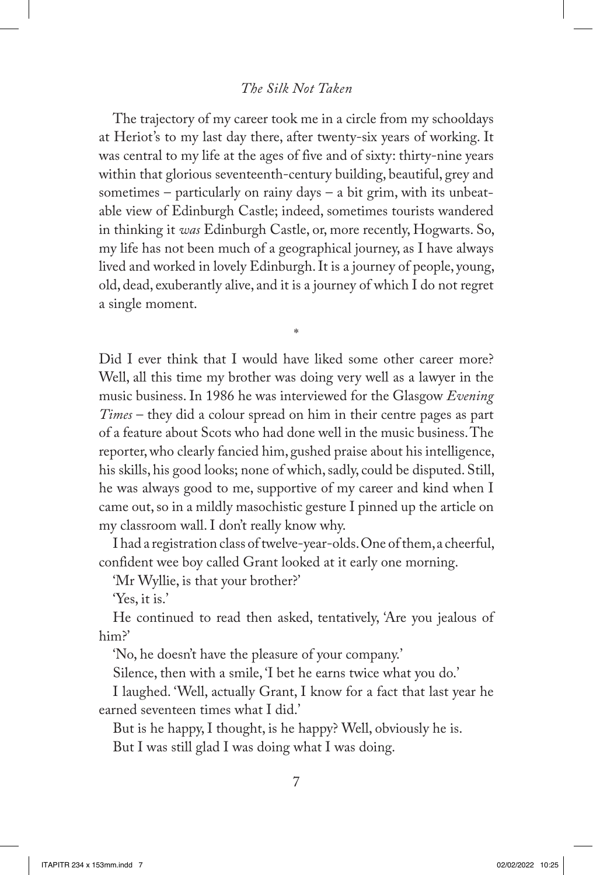## *The Silk Not Taken*

The trajectory of my career took me in a circle from my schooldays at Heriot's to my last day there, after twenty-six years of working. It was central to my life at the ages of five and of sixty: thirty-nine years within that glorious seventeenth-century building, beautiful, grey and sometimes  $-$  particularly on rainy days  $-$  a bit grim, with its unbeatable view of Edinburgh Castle; indeed, sometimes tourists wandered in thinking it *was* Edinburgh Castle, or, more recently, Hogwarts. So, my life has not been much of a geographical journey, as I have always lived and worked in lovely Edinburgh. It is a journey of people, young, old, dead, exuberantly alive, and it is a journey of which I do not regret a single moment.

Did I ever think that I would have liked some other career more? Well, all this time my brother was doing very well as a lawyer in the music business. In 1986 he was interviewed for the Glasgow *Evening Times* – they did a colour spread on him in their centre pages as part of a feature about Scots who had done well in the music business. The reporter, who clearly fancied him, gushed praise about his intelligence, his skills, his good looks; none of which, sadly, could be disputed. Still, he was always good to me, supportive of my career and kind when I came out, so in a mildly masochistic gesture I pinned up the article on my classroom wall. I don't really know why.

\*

I had a registration class of twelve-year-olds. One of them, a cheerful, confident wee boy called Grant looked at it early one morning.

'Mr Wyllie, is that your brother?'

'Yes, it is.'

He continued to read then asked, tentatively, 'Are you jealous of him?'

'No, he doesn't have the pleasure of your company.'

Silence, then with a smile, 'I bet he earns twice what you do.'

I laughed. 'Well, actually Grant, I know for a fact that last year he earned seventeen times what I did.'

But is he happy, I thought, is he happy? Well, obviously he is. But I was still glad I was doing what I was doing.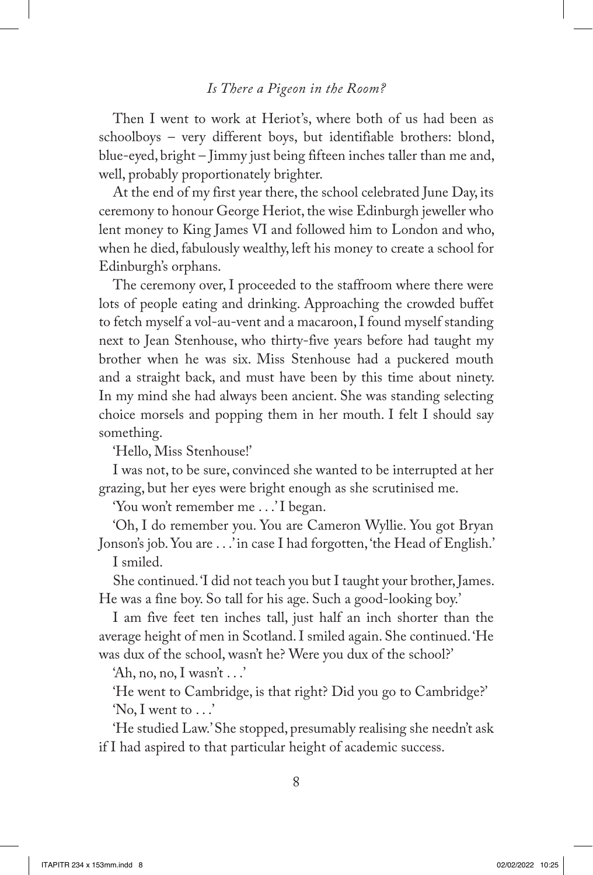## *Is There a Pigeon in the Room?*

Then I went to work at Heriot's, where both of us had been as schoolboys – very different boys, but identifiable brothers: blond, blue-eyed, bright – Jimmy just being fifteen inches taller than me and, well, probably proportionately brighter.

At the end of my first year there, the school celebrated June Day, its ceremony to honour George Heriot, the wise Edinburgh jeweller who lent money to King James VI and followed him to London and who, when he died, fabulously wealthy, left his money to create a school for Edinburgh's orphans.

The ceremony over, I proceeded to the staffroom where there were lots of people eating and drinking. Approaching the crowded buffet to fetch myself a vol-au-vent and a macaroon, I found myself standing next to Jean Stenhouse, who thirty-five years before had taught my brother when he was six. Miss Stenhouse had a puckered mouth and a straight back, and must have been by this time about ninety. In my mind she had always been ancient. She was standing selecting choice morsels and popping them in her mouth. I felt I should say something.

'Hello, Miss Stenhouse!'

I was not, to be sure, convinced she wanted to be interrupted at her grazing, but her eyes were bright enough as she scrutinised me.

'You won't remember me . . .' I began.

'Oh, I do remember you. You are Cameron Wyllie. You got Bryan Jonson's job. You are . . .' in case I had forgotten, 'the Head of English.' I smiled.

She continued. 'I did not teach you but I taught your brother, James. He was a fine boy. So tall for his age. Such a good-looking boy.'

I am five feet ten inches tall, just half an inch shorter than the average height of men in Scotland. I smiled again. She continued. 'He was dux of the school, wasn't he? Were you dux of the school?'

'Ah, no, no, I wasn't  $\ldots$ '

'He went to Cambridge, is that right? Did you go to Cambridge?' 'No, I went to . . .'

'He studied Law.' She stopped, presumably realising she needn't ask if I had aspired to that particular height of academic success.